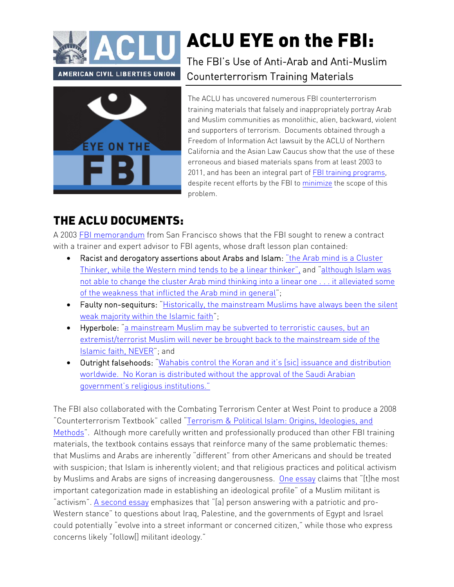



## ACLU EYE on the FBI:

The FBI's Use of Anti-Arab and Anti-Muslim Counterterrorism Training Materials

The ACLU has uncovered numerous FBI counterterrorism training materials that falsely and inappropriately portray Arab and Muslim communities as monolithic, alien, backward, violent and supporters of terrorism. Documents obtained through a Freedom of Information Act lawsuit by the ACLU of Northern California and the Asian Law Caucus show that the use of these erroneous and biased materials spans from at least 2003 to 2011, and has been an integral part of [FBI training programs](http://www.aclu.org/files/fbimappingfoia/20111019/ACLURM000463.pdf), despite recent efforts by the FBI to [minimize](http://www.wired.com/dangerroom/2011/07/fbi-islam-101-guide) the scope of this problem.

## THE ACLU DOCUMENTS:

A 2003 [FBI memorandum](http://www.aclu.org/files/fbimappingfoia/20111019/ACLURM013039.pdf) from San Francisco shows that the FBI sought to renew a contract with a trainer and expert advisor to FBI agents, whose draft lesson plan contained:

- Racist and derogatory assertions about Arabs and Islam: "the Arab mind is a Cluster [Thinker, while the Western mind tends to be a linear thinker", and "although Islam w](http://www.aclu.org/files/fbimappingfoia/20111019/ACLURM013039.pdf#page=13)as [not able to change the cluster Arab mind thinking into a linear one . . . it alleviated some](http://www.aclu.org/files/fbimappingfoia/20111019/ACLURM013039.pdf#page=14)  of the weakness that inflicted the Arab mind in general";
- [Faulty non-sequiturs: "Historically, the mainstream Muslims have always been the silent](http://www.aclu.org/files/fbimappingfoia/20111019/ACLURM013039.pdf#page=16) weak majority within the Islamic faith";
- Hyperbole: "a mainstream Muslim may be subverted to terroristic causes, but an [extremist/terrorist Muslim will never be brought back to the mainstream side of the](http://www.aclu.org/files/fbimappingfoia/20111019/ACLURM013039.pdf#page=16) Islamic faith, NEVER"; and
- [Outright falsehoods: "Wahabis control the Koran and it's \[sic\] issuance and distribution](http://www.aclu.org/files/fbimappingfoia/20111019/ACLURM013039.pdf#page=13) worldwide. No Koran is distributed without the approval of the Saudi Arabian government's religious institutions."

The FBI also collaborated with the Combating Terrorism Center at West Point to produce a 2008 ["Counterterrorism Textbook" called "Terrorism & Political Islam: Origins, Ideologies, and](https://www.aclu.org/files/fbimappingfoia/20111019/ACLURM000540.pdf)  Methods". Although more carefully written and professionally produced than other FBI training materials, the textbook contains essays that reinforce many of the same problematic themes: that Muslims and Arabs are inherently "different" from other Americans and should be treated with suspicion; that Islam is inherently violent; and that religious practices and political activism by Muslims and Arabs are signs of increasing dangerousness. [One essay](https://www.aclu.org/files/fbimappingfoia/20111019/ACLURM000540.pdf#page=341) claims that "[t]he most important categorization made in establishing an ideological profile" of a Muslim militant is "activism". [A second essay](https://www.aclu.org/files/fbimappingfoia/20111019/ACLURM000540.pdf#page=264) emphasizes that "[a] person answering with a patriotic and pro-Western stance" to questions about Iraq, Palestine, and the governments of Egypt and Israel could potentially "evolve into a street informant or concerned citizen," while those who express concerns likely "follow[] militant ideology."